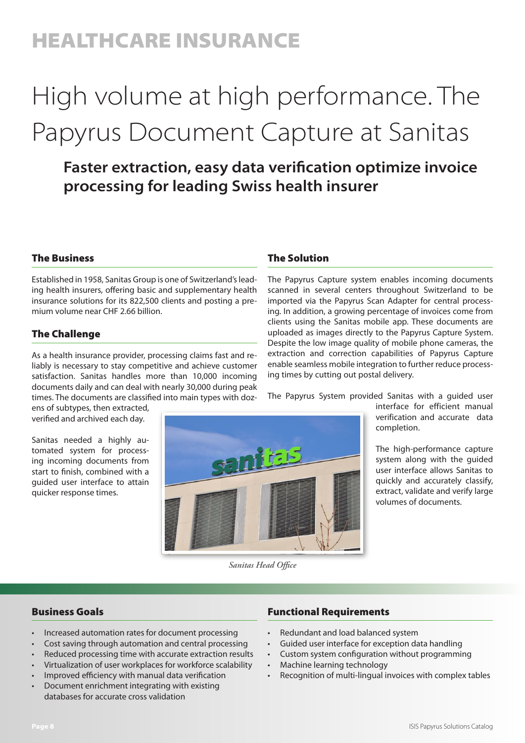## HEALTHCARE INSURANCE

## High volume at high performance. The Papyrus Document Capture at Sanitas

### **Faster extraction, easy data verification optimize invoice processing for leading Swiss health insurer**

#### The Business

Established in 1958, Sanitas Group is one of Switzerland's leading health insurers, offering basic and supplementary health insurance solutions for its 822,500 clients and posting a premium volume near CHF 2.66 billion.

#### The Challenge

As a health insurance provider, processing claims fast and reliably is necessary to stay competitive and achieve customer satisfaction. Sanitas handles more than 10,000 incoming documents daily and can deal with nearly 30,000 during peak times. The documents are classified into main types with doz-

ens of subtypes, then extracted, verified and archived each day.

Sanitas needed a highly automated system for processing incoming documents from start to finish, combined with a guided user interface to attain quicker response times.

#### The Solution

The Papyrus Capture system enables incoming documents scanned in several centers throughout Switzerland to be imported via the Papyrus Scan Adapter for central processing. In addition, a growing percentage of invoices come from clients using the Sanitas mobile app. These documents are uploaded as images directly to the Papyrus Capture System. Despite the low image quality of mobile phone cameras, the extraction and correction capabilities of Papyrus Capture enable seamless mobile integration to further reduce processing times by cutting out postal delivery.

The Papyrus System provided Sanitas with a guided user

interface for efficient manual verification and accurate data completion.

The high-performance capture system along with the guided user interface allows Sanitas to quickly and accurately classify, extract, validate and verify large volumes of documents.

*Sanitas Head Office*

**anitas** 

#### Business Goals

- Increased automation rates for document processing
- Cost saving through automation and central processing
- Reduced processing time with accurate extraction results
- Virtualization of user workplaces for workforce scalability
- Improved efficiency with manual data verification
- Document enrichment integrating with existing databases for accurate cross validation

#### Functional Requirements

- Redundant and load balanced system
- Guided user interface for exception data handling
- Custom system configuration without programming
- Machine learning technology
- Recognition of multi-lingual invoices with complex tables